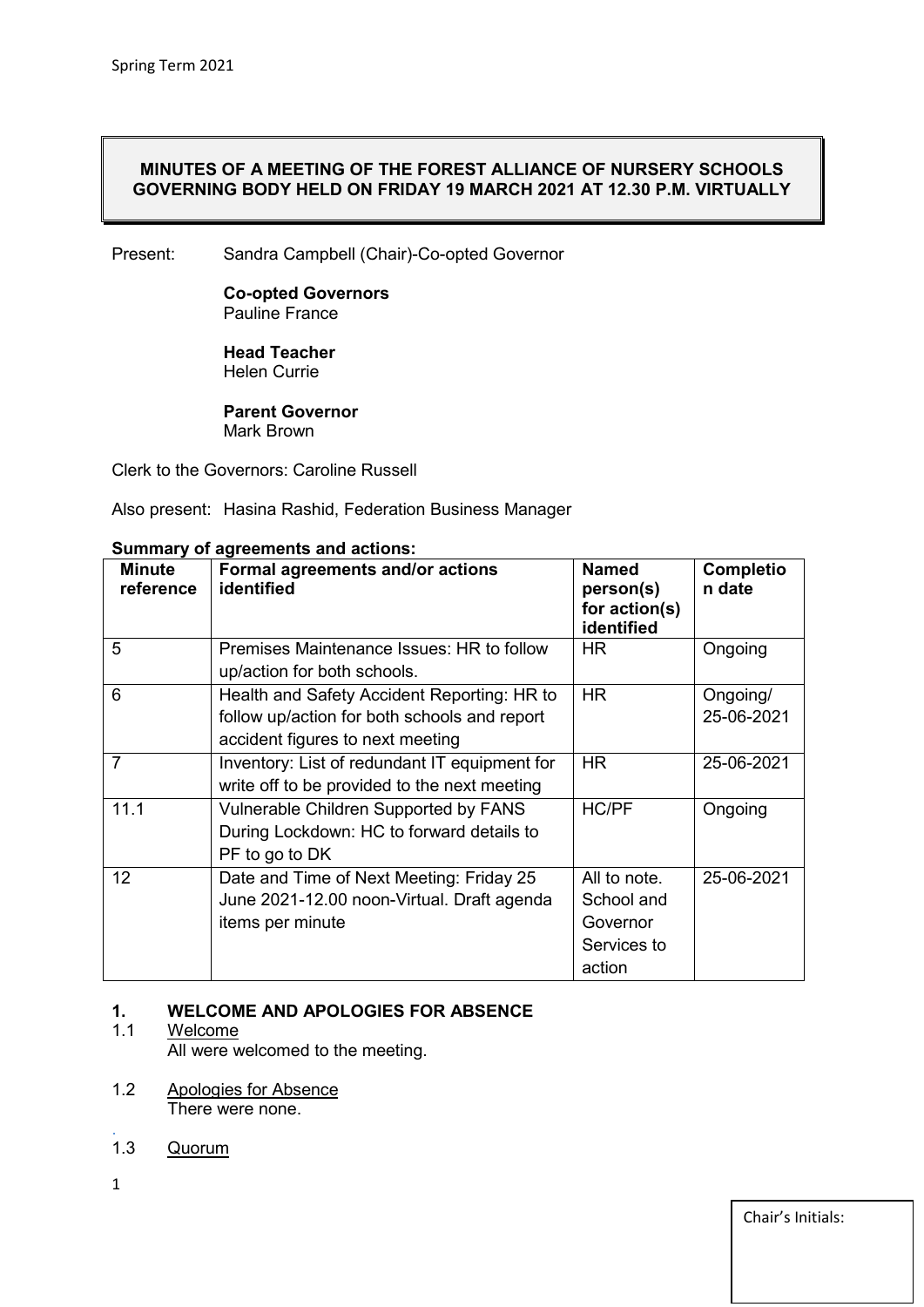#### **MINUTES OF A MEETING OF THE FOREST ALLIANCE OF NURSERY SCHOOLS GOVERNING BODY HELD ON FRIDAY 19 MARCH 2021 AT 12.30 P.M. VIRTUALLY**

Present: Sandra Campbell (Chair)-Co-opted Governor

**Co-opted Governors** Pauline France

**Head Teacher** Helen Currie

**Parent Governor** Mark Brown

Clerk to the Governors: Caroline Russell

Also present: Hasina Rashid, Federation Business Manager

| <b>Minute</b><br>reference | Formal agreements and/or actions<br>identified                                                                                  | <b>Named</b><br>person(s)<br>for action(s)<br>identified        | <b>Completio</b><br>n date |
|----------------------------|---------------------------------------------------------------------------------------------------------------------------------|-----------------------------------------------------------------|----------------------------|
| 5                          | Premises Maintenance Issues: HR to follow<br>up/action for both schools.                                                        | <b>HR</b>                                                       | Ongoing                    |
| 6                          | Health and Safety Accident Reporting: HR to<br>follow up/action for both schools and report<br>accident figures to next meeting | <b>HR</b>                                                       | Ongoing/<br>25-06-2021     |
| $\overline{7}$             | Inventory: List of redundant IT equipment for<br>write off to be provided to the next meeting                                   | <b>HR</b>                                                       | 25-06-2021                 |
| 11.1                       | Vulnerable Children Supported by FANS<br>During Lockdown: HC to forward details to<br>PF to go to DK                            | <b>HC/PF</b>                                                    | Ongoing                    |
| 12                         | Date and Time of Next Meeting: Friday 25<br>June 2021-12.00 noon-Virtual. Draft agenda<br>items per minute                      | All to note.<br>School and<br>Governor<br>Services to<br>action | 25-06-2021                 |

#### **Summary of agreements and actions:**

# **1. WELCOME AND APOLOGIES FOR ABSENCE**

#### Welcome

All were welcomed to the meeting.

- 1.2 Apologies for Absence There were none.
- . 1.3 Quorum
- 1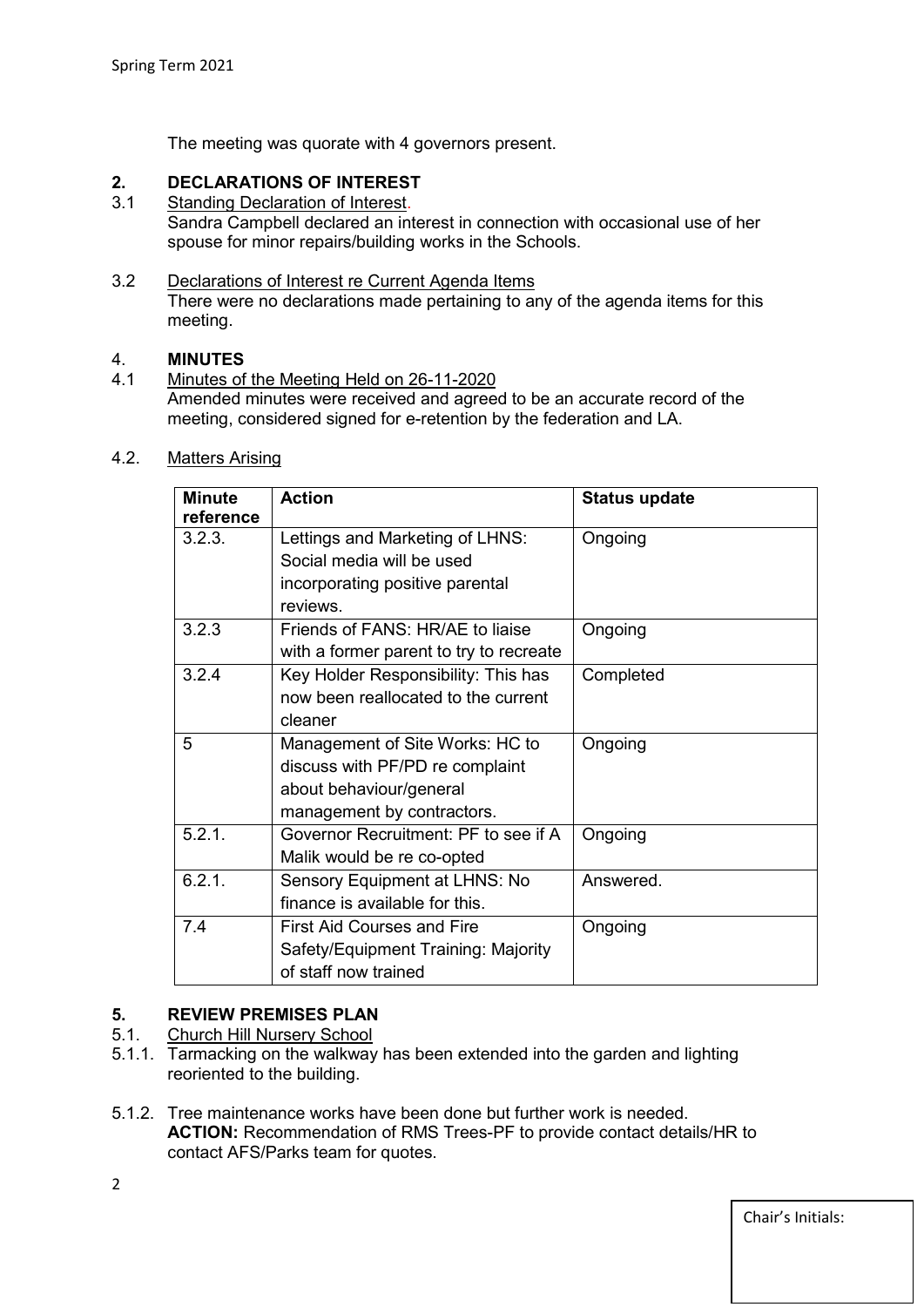The meeting was quorate with 4 governors present.

# **2. DECLARATIONS OF INTEREST**

Standing Declaration of Interest. Sandra Campbell declared an interest in connection with occasional use of her spouse for minor repairs/building works in the Schools.

### 3.2 Declarations of Interest re Current Agenda Items

There were no declarations made pertaining to any of the agenda items for this meeting.

## 4. **MINUTES**

4.1 Minutes of the Meeting Held on 26-11-2020 Amended minutes were received and agreed to be an accurate record of the meeting, considered signed for e-retention by the federation and LA.

### 4.2. Matters Arising

| <b>Minute</b><br>reference | <b>Action</b>                           | <b>Status update</b> |
|----------------------------|-----------------------------------------|----------------------|
| 3.2.3.                     | Lettings and Marketing of LHNS:         | Ongoing              |
|                            | Social media will be used               |                      |
|                            | incorporating positive parental         |                      |
|                            | reviews                                 |                      |
| 3.2.3                      | Friends of FANS: HR/AE to liaise        | Ongoing              |
|                            | with a former parent to try to recreate |                      |
| 3.2.4                      | Key Holder Responsibility: This has     | Completed            |
|                            | now been reallocated to the current     |                      |
|                            | cleaner                                 |                      |
| 5                          | Management of Site Works: HC to         | Ongoing              |
|                            | discuss with PF/PD re complaint         |                      |
|                            | about behaviour/general                 |                      |
|                            | management by contractors.              |                      |
| 5.2.1.                     | Governor Recruitment: PF to see if A    | Ongoing              |
|                            | Malik would be re co-opted              |                      |
| 6.2.1.                     | Sensory Equipment at LHNS: No           | Answered.            |
|                            | finance is available for this.          |                      |
| 7.4                        | <b>First Aid Courses and Fire</b>       | Ongoing              |
|                            | Safety/Equipment Training: Majority     |                      |
|                            | of staff now trained                    |                      |

# **5. REVIEW PREMISES PLAN**

- 5.1. Church Hill Nursery School
- 5.1.1. Tarmacking on the walkway has been extended into the garden and lighting reoriented to the building.
- 5.1.2. Tree maintenance works have been done but further work is needed. **ACTION:** Recommendation of RMS Trees-PF to provide contact details/HR to contact AFS/Parks team for quotes.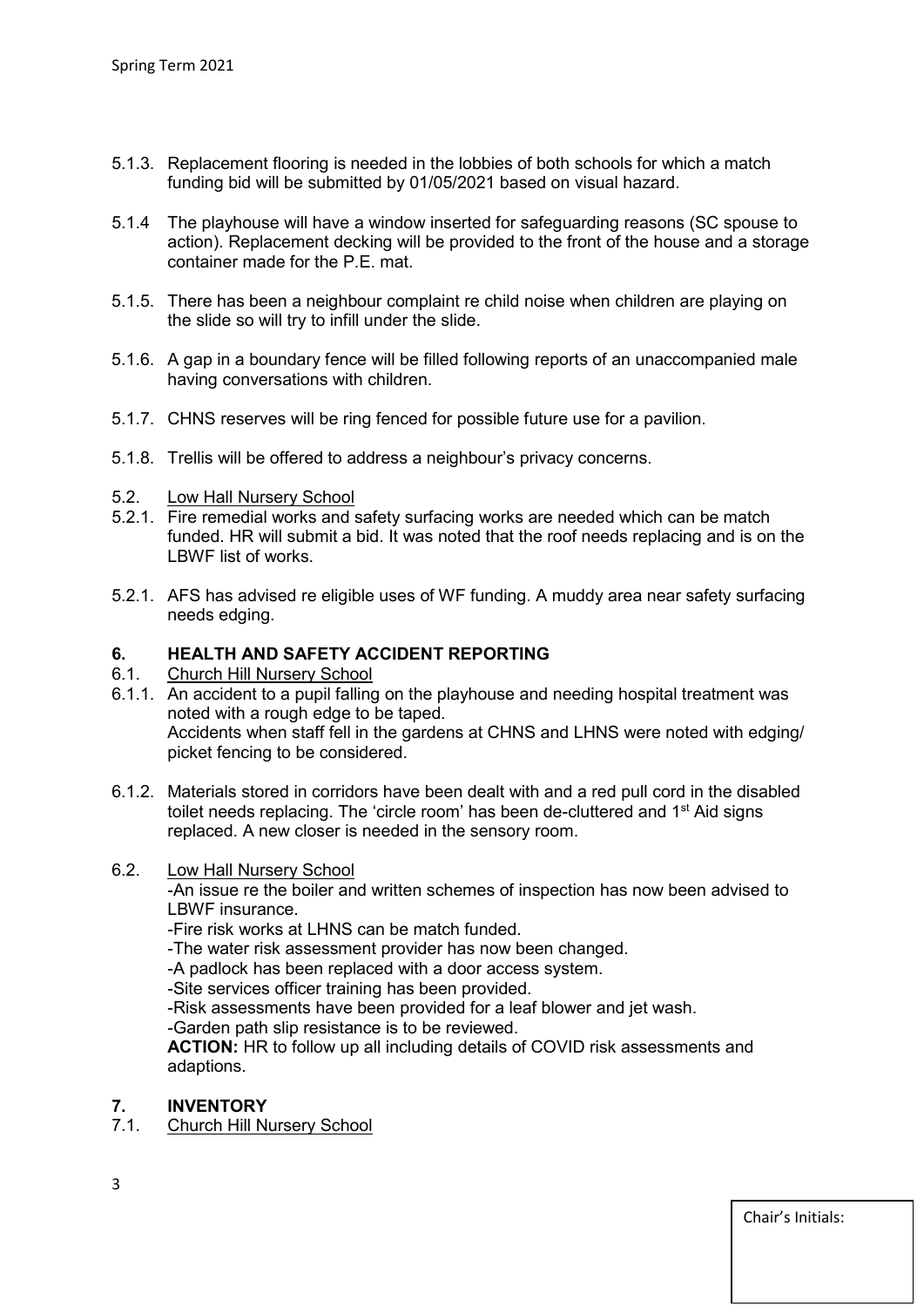- 5.1.3. Replacement flooring is needed in the lobbies of both schools for which a match funding bid will be submitted by 01/05/2021 based on visual hazard.
- 5.1.4 The playhouse will have a window inserted for safeguarding reasons (SC spouse to action). Replacement decking will be provided to the front of the house and a storage container made for the P.E. mat.
- 5.1.5. There has been a neighbour complaint re child noise when children are playing on the slide so will try to infill under the slide.
- 5.1.6. A gap in a boundary fence will be filled following reports of an unaccompanied male having conversations with children.
- 5.1.7. CHNS reserves will be ring fenced for possible future use for a pavilion.
- 5.1.8. Trellis will be offered to address a neighbour's privacy concerns.
- 5.2. Low Hall Nursery School
- 5.2.1. Fire remedial works and safety surfacing works are needed which can be match funded. HR will submit a bid. It was noted that the roof needs replacing and is on the LBWF list of works.
- 5.2.1. AFS has advised re eligible uses of WF funding. A muddy area near safety surfacing needs edging.

### **6. HEALTH AND SAFETY ACCIDENT REPORTING**

#### 6.1. Church Hill Nursery School

- 6.1.1. An accident to a pupil falling on the playhouse and needing hospital treatment was noted with a rough edge to be taped. Accidents when staff fell in the gardens at CHNS and LHNS were noted with edging/ picket fencing to be considered.
- 6.1.2. Materials stored in corridors have been dealt with and a red pull cord in the disabled toilet needs replacing. The 'circle room' has been de-cluttered and 1<sup>st</sup> Aid signs replaced. A new closer is needed in the sensory room.

#### 6.2. Low Hall Nursery School

-An issue re the boiler and written schemes of inspection has now been advised to LBWF insurance.

-Fire risk works at LHNS can be match funded.

-The water risk assessment provider has now been changed.

-A padlock has been replaced with a door access system.

-Site services officer training has been provided.

-Risk assessments have been provided for a leaf blower and jet wash.

-Garden path slip resistance is to be reviewed.

**ACTION:** HR to follow up all including details of COVID risk assessments and adaptions.

# **7. INVENTORY**

#### 7.1. Church Hill Nursery School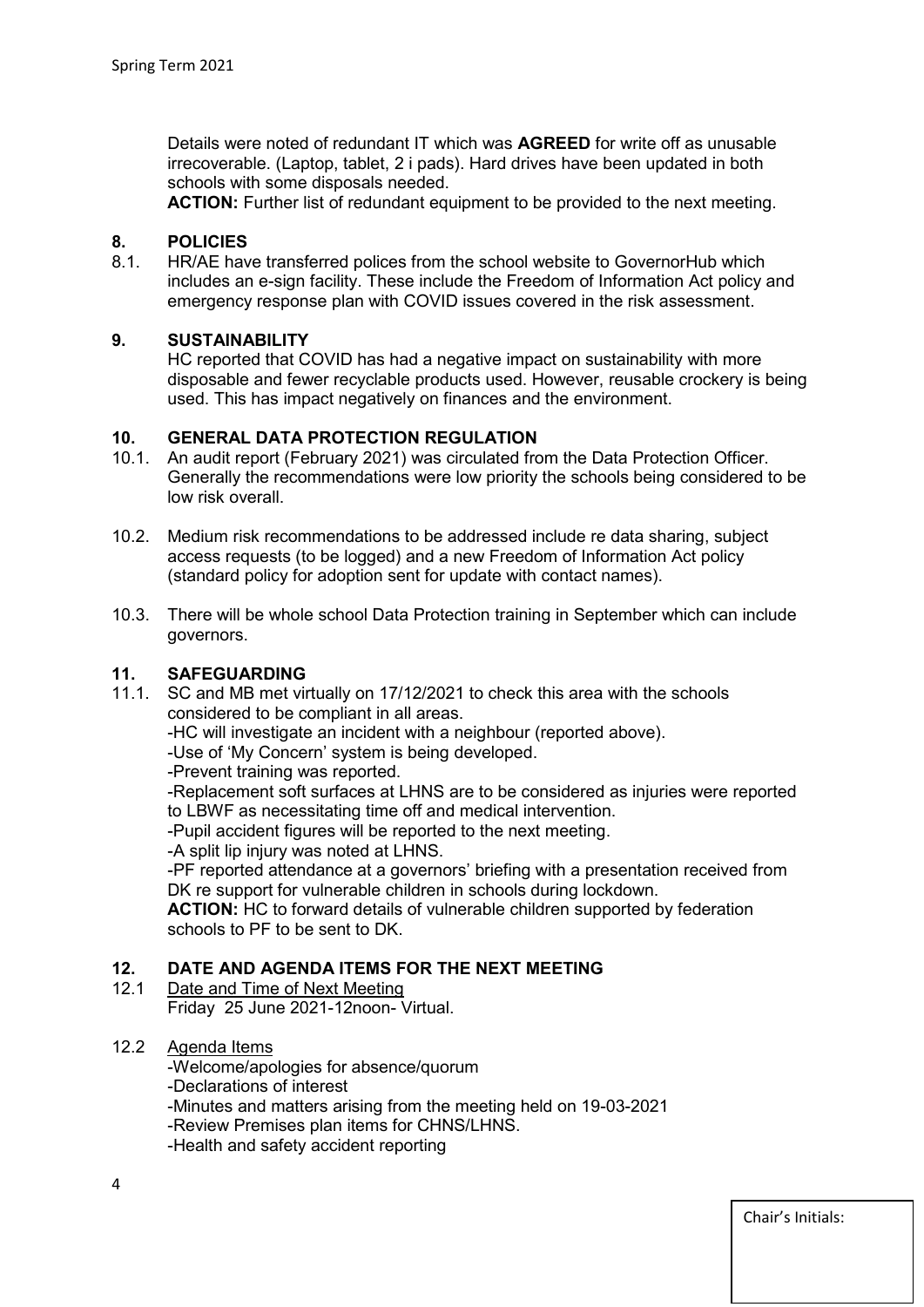Details were noted of redundant IT which was **AGREED** for write off as unusable irrecoverable. (Laptop, tablet, 2 i pads). Hard drives have been updated in both schools with some disposals needed.

**ACTION:** Further list of redundant equipment to be provided to the next meeting.

# **8. POLICIES**

8.1. HR/AE have transferred polices from the school website to GovernorHub which includes an e-sign facility. These include the Freedom of Information Act policy and emergency response plan with COVID issues covered in the risk assessment.

#### **9. SUSTAINABILITY**

HC reported that COVID has had a negative impact on sustainability with more disposable and fewer recyclable products used. However, reusable crockery is being used. This has impact negatively on finances and the environment.

#### **10. GENERAL DATA PROTECTION REGULATION**

- 10.1. An audit report (February 2021) was circulated from the Data Protection Officer. Generally the recommendations were low priority the schools being considered to be low risk overall.
- 10.2. Medium risk recommendations to be addressed include re data sharing, subject access requests (to be logged) and a new Freedom of Information Act policy (standard policy for adoption sent for update with contact names).
- 10.3. There will be whole school Data Protection training in September which can include governors.

## **11. SAFEGUARDING**

SC and MB met virtually on 17/12/2021 to check this area with the schools considered to be compliant in all areas.

-HC will investigate an incident with a neighbour (reported above).

-Use of 'My Concern' system is being developed.

-Prevent training was reported.

-Replacement soft surfaces at LHNS are to be considered as injuries were reported to LBWF as necessitating time off and medical intervention.

-Pupil accident figures will be reported to the next meeting.

-A split lip injury was noted at LHNS.

-PF reported attendance at a governors' briefing with a presentation received from DK re support for vulnerable children in schools during lockdown.

**ACTION:** HC to forward details of vulnerable children supported by federation schools to PF to be sent to DK.

## **12. DATE AND AGENDA ITEMS FOR THE NEXT MEETING**

- Date and Time of Next Meeting
	- Friday 25 June 2021-12noon- Virtual.

### 12.2 Agenda Items

-Welcome/apologies for absence/quorum

-Declarations of interest

-Minutes and matters arising from the meeting held on 19-03-2021

-Review Premises plan items for CHNS/LHNS.

-Health and safety accident reporting